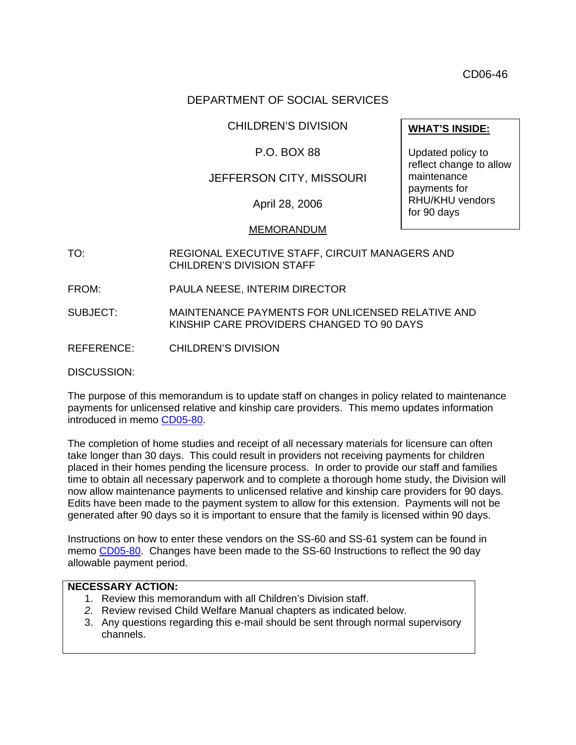CD06-46

# DEPARTMENT OF SOCIAL SERVICES

#### CHILDREN'S DIVISION

# P.O. BOX 88

# JEFFERSON CITY, MISSOURI

April 28, 2006

#### MEMORANDUM

- TO: REGIONAL EXECUTIVE STAFF, CIRCUIT MANAGERS AND CHILDREN'S DIVISION STAFF
- FROM: PAULA NEESE, INTERIM DIRECTOR
- SUBJECT: MAINTENANCE PAYMENTS FOR UNLICENSED RELATIVE AND KINSHIP CARE PROVIDERS CHANGED TO 90 DAYS
- REFERENCE: CHILDREN'S DIVISION

DISCUSSION:

The purpose of this memorandum is to update staff on changes in policy related to maintenance payments for unlicensed relative and kinship care providers. This memo updates information introduced in memo [CD05-80.](http://www.dss.mo.gov/cd/info/memos/2005/80/cd0580.pdf)

The completion of home studies and receipt of all necessary materials for licensure can often take longer than 30 days. This could result in providers not receiving payments for children placed in their homes pending the licensure process. In order to provide our staff and families time to obtain all necessary paperwork and to complete a thorough home study, the Division will now allow maintenance payments to unlicensed relative and kinship care providers for 90 days. Edits have been made to the payment system to allow for this extension. Payments will not be generated after 90 days so it is important to ensure that the family is licensed within 90 days.

Instructions on how to enter these vendors on the SS-60 and SS-61 system can be found in memo [CD05-80.](http://www.dss.mo.gov/cd/info/memos/2005/80/cd0580.pdf) Changes have been made to the SS-60 Instructions to reflect the 90 day allowable payment period.

# **NECESSARY ACTION:**

- 1. Review this memorandum with all Children's Division staff.
- *2.* Review revised Child Welfare Manual chapters as indicated below.
- 3. Any questions regarding this e-mail should be sent through normal supervisory channels.

**WHAT'S INSIDE:**

Updated policy to reflect change to allow maintenance payments for RHU/KHU vendors for 90 days